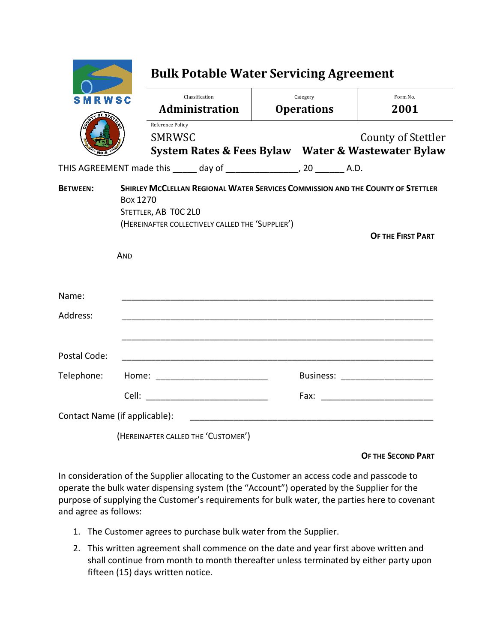| MRWSC                         |                                    | Classification<br><b>Administration</b>                                                                                                                     |  | Category<br><b>Operations</b>    | Form No.<br>2001         |
|-------------------------------|------------------------------------|-------------------------------------------------------------------------------------------------------------------------------------------------------------|--|----------------------------------|--------------------------|
|                               |                                    | Reference Policy<br><b>SMRWSC</b><br>System Rates & Fees Bylaw Water & Wastewater Bylaw                                                                     |  |                                  | County of Stettler       |
|                               |                                    | THIS AGREEMENT made this _____ day of ____________________, 20 ________ A.D.                                                                                |  |                                  |                          |
| <b>BETWEEN:</b>               | Box 1270<br>AND                    | SHIRLEY MCCLELLAN REGIONAL WATER SERVICES COMMISSION AND THE COUNTY OF STETTLER<br>STETTLER, AB TOC 2LO<br>(HEREINAFTER COLLECTIVELY CALLED THE 'SUPPLIER') |  |                                  | <b>OF THE FIRST PART</b> |
| Name:                         |                                    |                                                                                                                                                             |  |                                  |                          |
| Address:                      |                                    |                                                                                                                                                             |  |                                  |                          |
| Postal Code:                  |                                    |                                                                                                                                                             |  |                                  |                          |
| Telephone:                    | Home: ____________________________ |                                                                                                                                                             |  | Business: ______________________ |                          |
|                               | Cell:                              |                                                                                                                                                             |  |                                  |                          |
| Contact Name (if applicable): |                                    |                                                                                                                                                             |  |                                  |                          |
|                               |                                    | (HEREINAFTER CALLED THE 'CUSTOMER')                                                                                                                         |  |                                  |                          |

## **OF THE SECOND PART**

In consideration of the Supplier allocating to the Customer an access code and passcode to operate the bulk water dispensing system (the "Account") operated by the Supplier for the purpose of supplying the Customer's requirements for bulk water, the parties here to covenant and agree as follows:

- 1. The Customer agrees to purchase bulk water from the Supplier.
- 2. This written agreement shall commence on the date and year first above written and shall continue from month to month thereafter unless terminated by either party upon fifteen (15) days written notice.